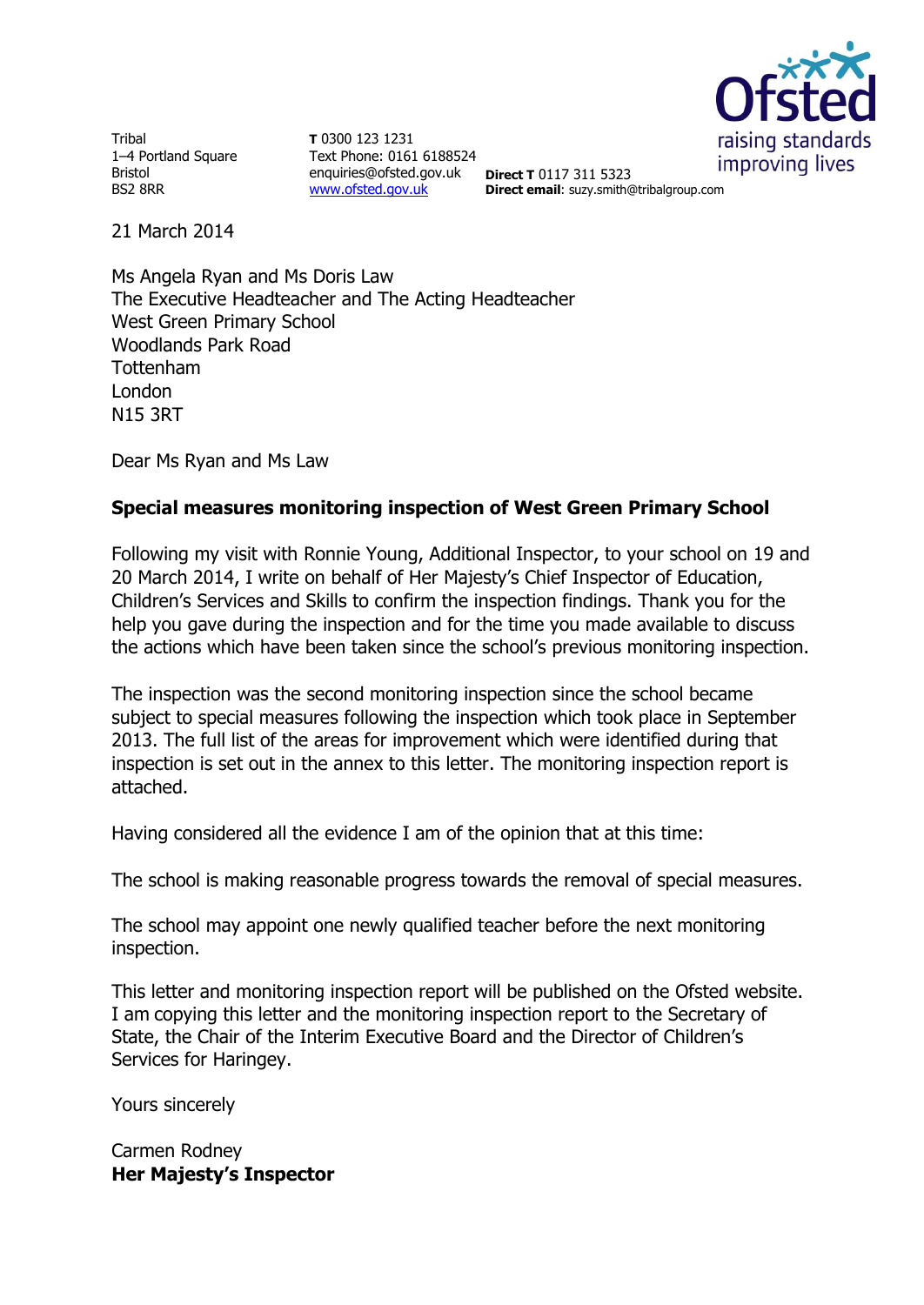

Tribal 1–4 Portland Square Bristol BS2 8RR

**T** 0300 123 1231 Text Phone: 0161 6188524 enquiries@ofsted.gov.uk **Direct T** 0117 311 5323 [www.ofsted.gov.uk](http://www.ofsted.gov.uk/)

**Direct email**: suzy.smith@tribalgroup.com

21 March 2014

Ms Angela Ryan and Ms Doris Law The Executive Headteacher and The Acting Headteacher West Green Primary School Woodlands Park Road Tottenham London N15 3RT

Dear Ms Ryan and Ms Law

# **Special measures monitoring inspection of West Green Primary School**

Following my visit with Ronnie Young, Additional Inspector, to your school on 19 and 20 March 2014, I write on behalf of Her Majesty's Chief Inspector of Education, Children's Services and Skills to confirm the inspection findings. Thank you for the help you gave during the inspection and for the time you made available to discuss the actions which have been taken since the school's previous monitoring inspection.

The inspection was the second monitoring inspection since the school became subject to special measures following the inspection which took place in September 2013. The full list of the areas for improvement which were identified during that inspection is set out in the annex to this letter. The monitoring inspection report is attached.

Having considered all the evidence I am of the opinion that at this time:

The school is making reasonable progress towards the removal of special measures.

The school may appoint one newly qualified teacher before the next monitoring inspection.

This letter and monitoring inspection report will be published on the Ofsted website. I am copying this letter and the monitoring inspection report to the Secretary of State, the Chair of the Interim Executive Board and the Director of Children's Services for Haringey.

Yours sincerely

Carmen Rodney **Her Majesty's Inspector**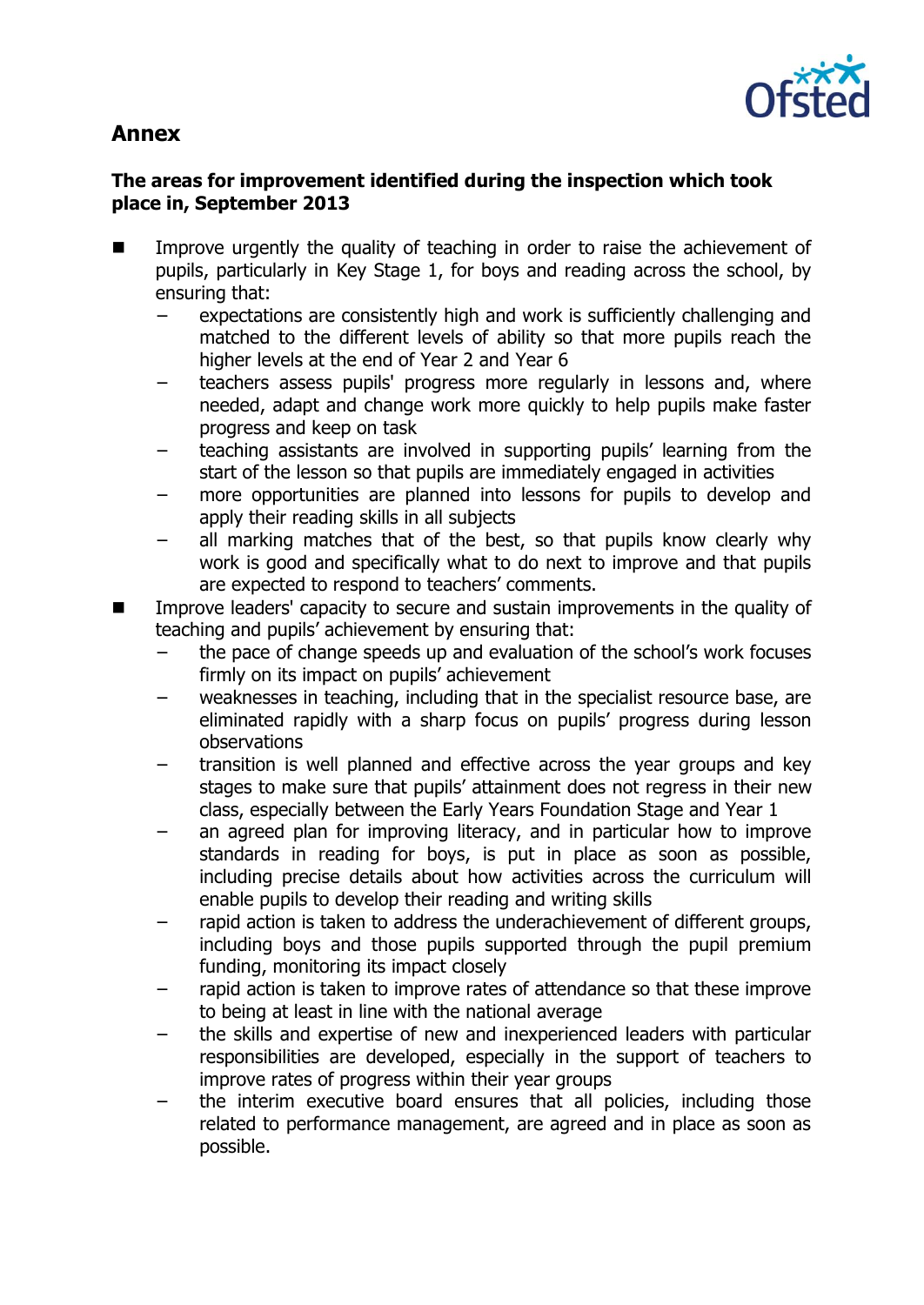# **Annex**



## **The areas for improvement identified during the inspection which took place in, September 2013**

- Improve urgently the quality of teaching in order to raise the achievement of pupils, particularly in Key Stage 1, for boys and reading across the school, by ensuring that:
	- expectations are consistently high and work is sufficiently challenging and matched to the different levels of ability so that more pupils reach the higher levels at the end of Year 2 and Year 6
	- teachers assess pupils' progress more regularly in lessons and, where needed, adapt and change work more quickly to help pupils make faster progress and keep on task
	- teaching assistants are involved in supporting pupils' learning from the start of the lesson so that pupils are immediately engaged in activities
	- more opportunities are planned into lessons for pupils to develop and apply their reading skills in all subjects
	- all marking matches that of the best, so that pupils know clearly why work is good and specifically what to do next to improve and that pupils are expected to respond to teachers' comments.
- Improve leaders' capacity to secure and sustain improvements in the quality of teaching and pupils' achievement by ensuring that:
	- the pace of change speeds up and evaluation of the school's work focuses firmly on its impact on pupils' achievement
	- − weaknesses in teaching, including that in the specialist resource base, are eliminated rapidly with a sharp focus on pupils' progress during lesson observations
	- − transition is well planned and effective across the year groups and key stages to make sure that pupils' attainment does not regress in their new class, especially between the Early Years Foundation Stage and Year 1
	- an agreed plan for improving literacy, and in particular how to improve standards in reading for boys, is put in place as soon as possible, including precise details about how activities across the curriculum will enable pupils to develop their reading and writing skills
	- − rapid action is taken to address the underachievement of different groups, including boys and those pupils supported through the pupil premium funding, monitoring its impact closely
	- − rapid action is taken to improve rates of attendance so that these improve to being at least in line with the national average
	- the skills and expertise of new and inexperienced leaders with particular responsibilities are developed, especially in the support of teachers to improve rates of progress within their year groups
	- the interim executive board ensures that all policies, including those related to performance management, are agreed and in place as soon as possible.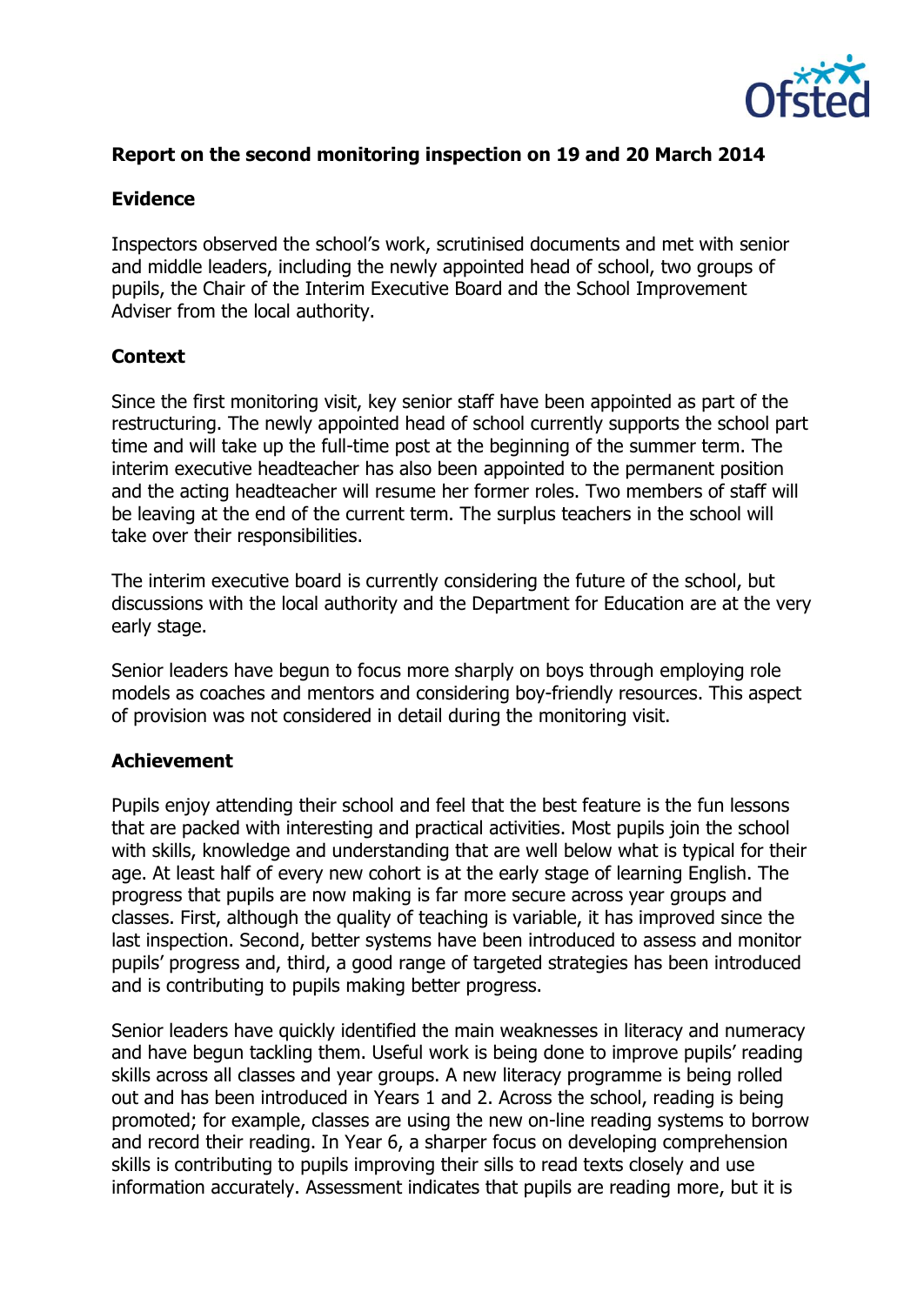

## **Report on the second monitoring inspection on 19 and 20 March 2014**

#### **Evidence**

Inspectors observed the school's work, scrutinised documents and met with senior and middle leaders, including the newly appointed head of school, two groups of pupils, the Chair of the Interim Executive Board and the School Improvement Adviser from the local authority.

## **Context**

Since the first monitoring visit, key senior staff have been appointed as part of the restructuring. The newly appointed head of school currently supports the school part time and will take up the full-time post at the beginning of the summer term. The interim executive headteacher has also been appointed to the permanent position and the acting headteacher will resume her former roles. Two members of staff will be leaving at the end of the current term. The surplus teachers in the school will take over their responsibilities.

The interim executive board is currently considering the future of the school, but discussions with the local authority and the Department for Education are at the very early stage.

Senior leaders have begun to focus more sharply on boys through employing role models as coaches and mentors and considering boy-friendly resources. This aspect of provision was not considered in detail during the monitoring visit.

## **Achievement**

Pupils enjoy attending their school and feel that the best feature is the fun lessons that are packed with interesting and practical activities. Most pupils join the school with skills, knowledge and understanding that are well below what is typical for their age. At least half of every new cohort is at the early stage of learning English. The progress that pupils are now making is far more secure across year groups and classes. First, although the quality of teaching is variable, it has improved since the last inspection. Second, better systems have been introduced to assess and monitor pupils' progress and, third, a good range of targeted strategies has been introduced and is contributing to pupils making better progress.

Senior leaders have quickly identified the main weaknesses in literacy and numeracy and have begun tackling them. Useful work is being done to improve pupils' reading skills across all classes and year groups. A new literacy programme is being rolled out and has been introduced in Years 1 and 2. Across the school, reading is being promoted; for example, classes are using the new on-line reading systems to borrow and record their reading. In Year 6, a sharper focus on developing comprehension skills is contributing to pupils improving their sills to read texts closely and use information accurately. Assessment indicates that pupils are reading more, but it is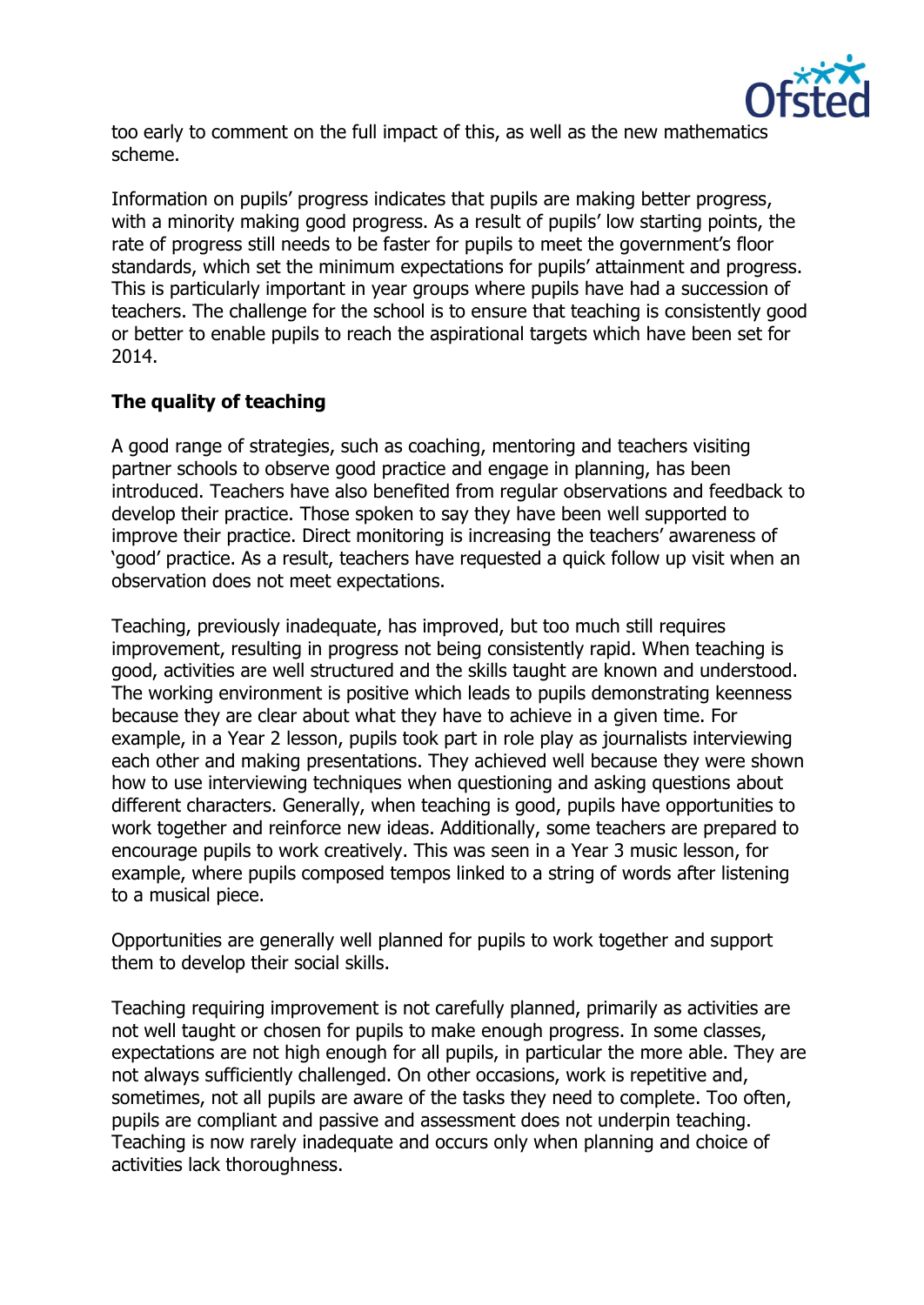

too early to comment on the full impact of this, as well as the new mathematics scheme.

Information on pupils' progress indicates that pupils are making better progress, with a minority making good progress. As a result of pupils' low starting points, the rate of progress still needs to be faster for pupils to meet the government's floor standards, which set the minimum expectations for pupils' attainment and progress. This is particularly important in year groups where pupils have had a succession of teachers. The challenge for the school is to ensure that teaching is consistently good or better to enable pupils to reach the aspirational targets which have been set for 2014.

# **The quality of teaching**

A good range of strategies, such as coaching, mentoring and teachers visiting partner schools to observe good practice and engage in planning, has been introduced. Teachers have also benefited from regular observations and feedback to develop their practice. Those spoken to say they have been well supported to improve their practice. Direct monitoring is increasing the teachers' awareness of 'good' practice. As a result, teachers have requested a quick follow up visit when an observation does not meet expectations.

Teaching, previously inadequate, has improved, but too much still requires improvement, resulting in progress not being consistently rapid. When teaching is good, activities are well structured and the skills taught are known and understood. The working environment is positive which leads to pupils demonstrating keenness because they are clear about what they have to achieve in a given time. For example, in a Year 2 lesson, pupils took part in role play as journalists interviewing each other and making presentations. They achieved well because they were shown how to use interviewing techniques when questioning and asking questions about different characters. Generally, when teaching is good, pupils have opportunities to work together and reinforce new ideas. Additionally, some teachers are prepared to encourage pupils to work creatively. This was seen in a Year 3 music lesson, for example, where pupils composed tempos linked to a string of words after listening to a musical piece.

Opportunities are generally well planned for pupils to work together and support them to develop their social skills.

Teaching requiring improvement is not carefully planned, primarily as activities are not well taught or chosen for pupils to make enough progress. In some classes, expectations are not high enough for all pupils, in particular the more able. They are not always sufficiently challenged. On other occasions, work is repetitive and, sometimes, not all pupils are aware of the tasks they need to complete. Too often, pupils are compliant and passive and assessment does not underpin teaching. Teaching is now rarely inadequate and occurs only when planning and choice of activities lack thoroughness.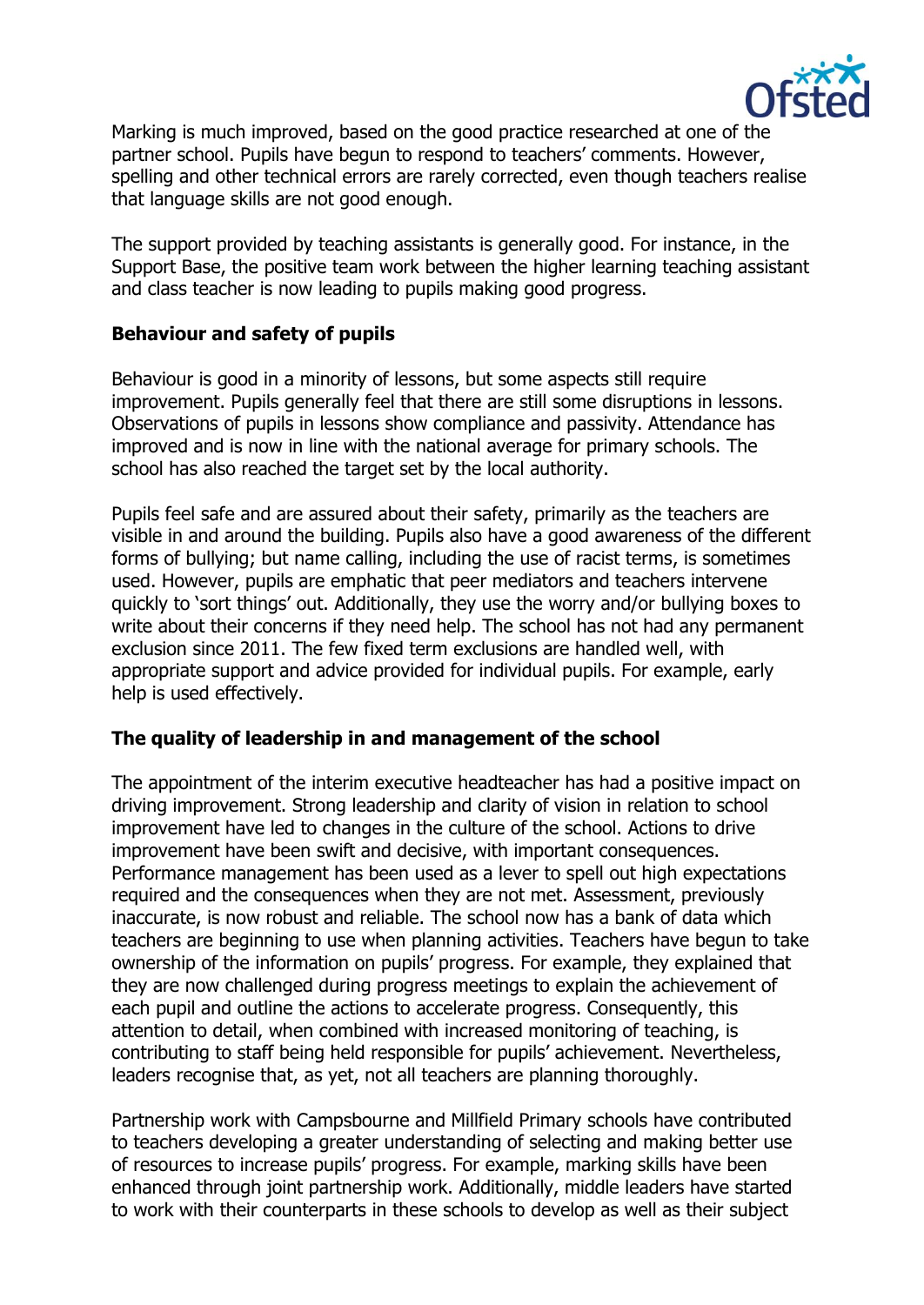

Marking is much improved, based on the good practice researched at one of the partner school. Pupils have begun to respond to teachers' comments. However, spelling and other technical errors are rarely corrected, even though teachers realise that language skills are not good enough.

The support provided by teaching assistants is generally good. For instance, in the Support Base, the positive team work between the higher learning teaching assistant and class teacher is now leading to pupils making good progress.

#### **Behaviour and safety of pupils**

Behaviour is good in a minority of lessons, but some aspects still require improvement. Pupils generally feel that there are still some disruptions in lessons. Observations of pupils in lessons show compliance and passivity. Attendance has improved and is now in line with the national average for primary schools. The school has also reached the target set by the local authority.

Pupils feel safe and are assured about their safety, primarily as the teachers are visible in and around the building. Pupils also have a good awareness of the different forms of bullying; but name calling, including the use of racist terms, is sometimes used. However, pupils are emphatic that peer mediators and teachers intervene quickly to 'sort things' out. Additionally, they use the worry and/or bullying boxes to write about their concerns if they need help. The school has not had any permanent exclusion since 2011. The few fixed term exclusions are handled well, with appropriate support and advice provided for individual pupils. For example, early help is used effectively.

## **The quality of leadership in and management of the school**

The appointment of the interim executive headteacher has had a positive impact on driving improvement. Strong leadership and clarity of vision in relation to school improvement have led to changes in the culture of the school. Actions to drive improvement have been swift and decisive, with important consequences. Performance management has been used as a lever to spell out high expectations required and the consequences when they are not met. Assessment, previously inaccurate, is now robust and reliable. The school now has a bank of data which teachers are beginning to use when planning activities. Teachers have begun to take ownership of the information on pupils' progress. For example, they explained that they are now challenged during progress meetings to explain the achievement of each pupil and outline the actions to accelerate progress. Consequently, this attention to detail, when combined with increased monitoring of teaching, is contributing to staff being held responsible for pupils' achievement. Nevertheless, leaders recognise that, as yet, not all teachers are planning thoroughly.

Partnership work with Campsbourne and Millfield Primary schools have contributed to teachers developing a greater understanding of selecting and making better use of resources to increase pupils' progress. For example, marking skills have been enhanced through joint partnership work. Additionally, middle leaders have started to work with their counterparts in these schools to develop as well as their subject